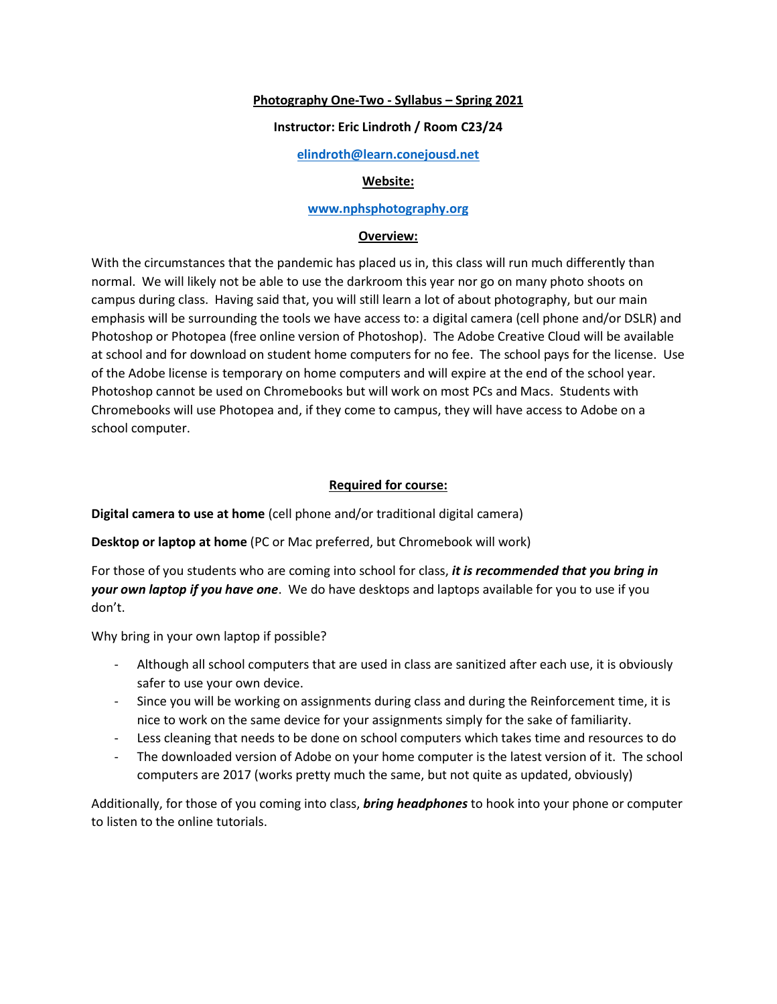## **Photography One-Two - Syllabus – Spring 2021**

## **Instructor: Eric Lindroth / Room C23/24**

## **<elindroth@learn.conejousd.net>**

## **Website:**

## **[www.nphsphotography.org](https://conejousd-my.sharepoint.com/personal/elindroth_conejousd_org/Documents/www.nphsphotography.org)**

## **Overview:**

With the circumstances that the pandemic has placed us in, this class will run much differently than normal. We will likely not be able to use the darkroom this year nor go on many photo shoots on campus during class. Having said that, you will still learn a lot of about photography, but our main emphasis will be surrounding the tools we have access to: a digital camera (cell phone and/or DSLR) and Photoshop or Photopea (free online version of Photoshop). The Adobe Creative Cloud will be available at school and for download on student home computers for no fee. The school pays for the license. Use of the Adobe license is temporary on home computers and will expire at the end of the school year. Photoshop cannot be used on Chromebooks but will work on most PCs and Macs. Students with Chromebooks will use Photopea and, if they come to campus, they will have access to Adobe on a school computer.

# **Required for course:**

**Digital camera to use at home** (cell phone and/or traditional digital camera)

**Desktop or laptop at home** (PC or Mac preferred, but Chromebook will work)

For those of you students who are coming into school for class, *it is recommended that you bring in your own laptop if you have one*. We do have desktops and laptops available for you to use if you don't.

Why bring in your own laptop if possible?

- Although all school computers that are used in class are sanitized after each use, it is obviously safer to use your own device.
- Since you will be working on assignments during class and during the Reinforcement time, it is nice to work on the same device for your assignments simply for the sake of familiarity.
- Less cleaning that needs to be done on school computers which takes time and resources to do
- The downloaded version of Adobe on your home computer is the latest version of it. The school computers are 2017 (works pretty much the same, but not quite as updated, obviously)

Additionally, for those of you coming into class, *bring headphones* to hook into your phone or computer to listen to the online tutorials.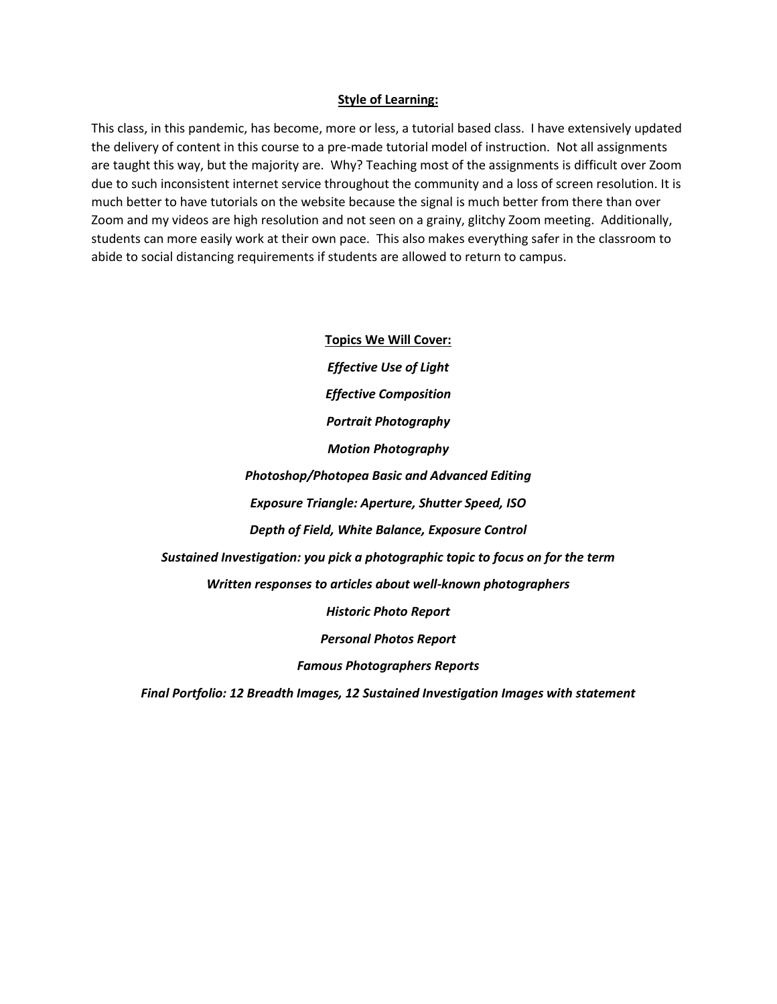#### **Style of Learning:**

This class, in this pandemic, has become, more or less, a tutorial based class. I have extensively updated the delivery of content in this course to a pre-made tutorial model of instruction. Not all assignments are taught this way, but the majority are. Why? Teaching most of the assignments is difficult over Zoom due to such inconsistent internet service throughout the community and a loss of screen resolution. It is much better to have tutorials on the website because the signal is much better from there than over Zoom and my videos are high resolution and not seen on a grainy, glitchy Zoom meeting. Additionally, students can more easily work at their own pace. This also makes everything safer in the classroom to abide to social distancing requirements if students are allowed to return to campus.

> **Topics We Will Cover:** *Effective Use of Light Effective Composition Portrait Photography Motion Photography Photoshop/Photopea Basic and Advanced Editing Exposure Triangle: Aperture, Shutter Speed, ISO Depth of Field, White Balance, Exposure Control Sustained Investigation: you pick a photographic topic to focus on for the term Written responses to articles about well-known photographers Historic Photo Report Personal Photos Report Famous Photographers Reports*

*Final Portfolio: 12 Breadth Images, 12 Sustained Investigation Images with statement*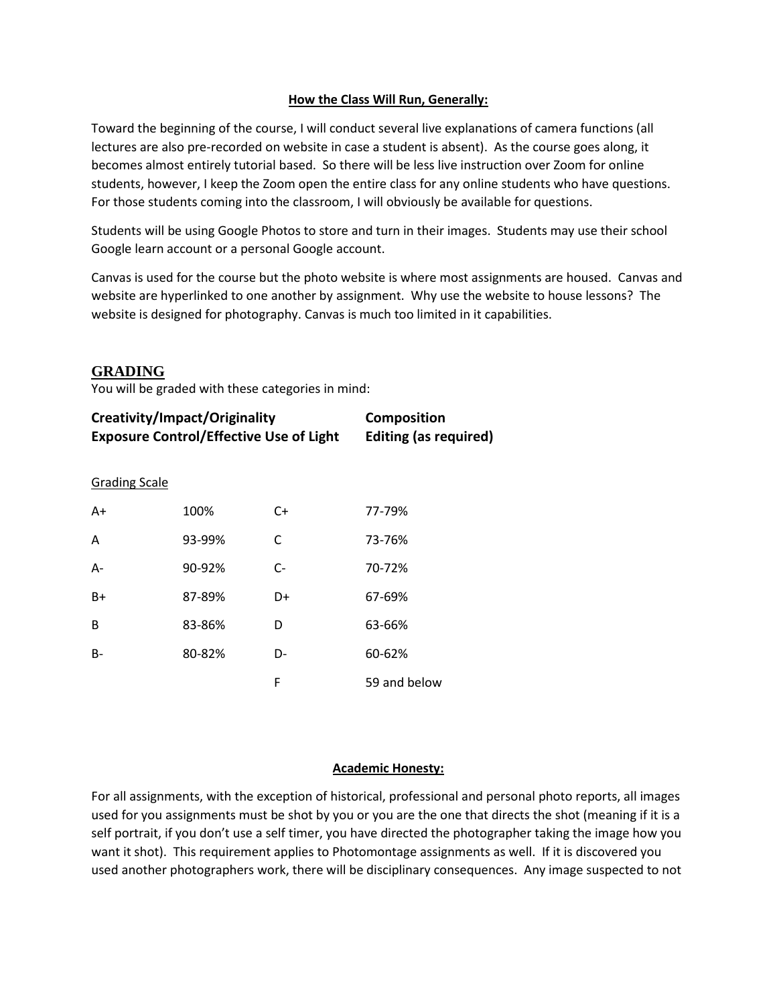# **How the Class Will Run, Generally:**

Toward the beginning of the course, I will conduct several live explanations of camera functions (all lectures are also pre-recorded on website in case a student is absent). As the course goes along, it becomes almost entirely tutorial based. So there will be less live instruction over Zoom for online students, however, I keep the Zoom open the entire class for any online students who have questions. For those students coming into the classroom, I will obviously be available for questions.

Students will be using Google Photos to store and turn in their images. Students may use their school Google learn account or a personal Google account.

Canvas is used for the course but the photo website is where most assignments are housed. Canvas and website are hyperlinked to one another by assignment. Why use the website to house lessons? The website is designed for photography. Canvas is much too limited in it capabilities.

# **GRADING**

You will be graded with these categories in mind:

| Creativity/Impact/Originality                  | <b>Composition</b>           |
|------------------------------------------------|------------------------------|
| <b>Exposure Control/Effective Use of Light</b> | <b>Editing (as required)</b> |

# Grading Scale

| $A+$  | 100%   | $C+$ | 77-79%       |
|-------|--------|------|--------------|
| A     | 93-99% | C    | 73-76%       |
| $A -$ | 90-92% | $C-$ | 70-72%       |
| B+    | 87-89% | D+   | 67-69%       |
| B     | 83-86% | D    | 63-66%       |
| $B -$ | 80-82% | D-   | 60-62%       |
|       |        | F    | 59 and below |

# **Academic Honesty:**

For all assignments, with the exception of historical, professional and personal photo reports, all images used for you assignments must be shot by you or you are the one that directs the shot (meaning if it is a self portrait, if you don't use a self timer, you have directed the photographer taking the image how you want it shot). This requirement applies to Photomontage assignments as well. If it is discovered you used another photographers work, there will be disciplinary consequences. Any image suspected to not